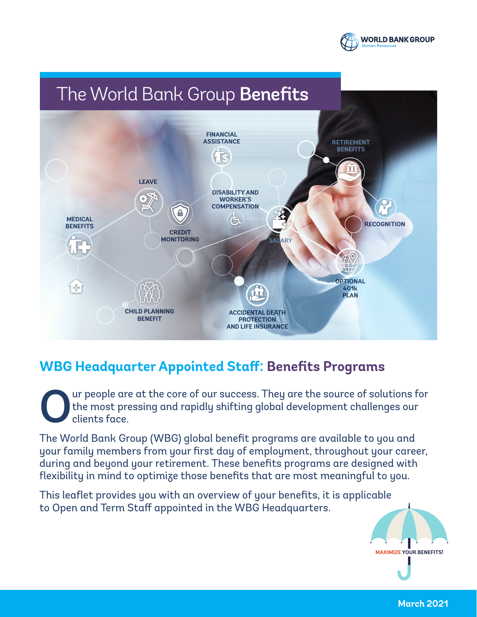

## The World Bank Group Benefits



## **WBG Headquarter Appointed Staff: Benefits Programs**

Our people are at the core of our success. They are the source of solutions for the most pressing and rapidly shifting global development challenges our clients face. the most pressing and rapidly shifting global development challenges our clients face.

The World Bank Group (WBG) global benefit programs are available to you and your family members from your first day of employment, throughout your career, during and beyond your retirement. These benefits programs are designed with flexibility in mind to optimize those benefits that are most meaningful to you.

This leaflet provides you with an overview of your benefits, it is applicable to Open and Term Staff appointed in the WBG Headquarters.



**March 2021**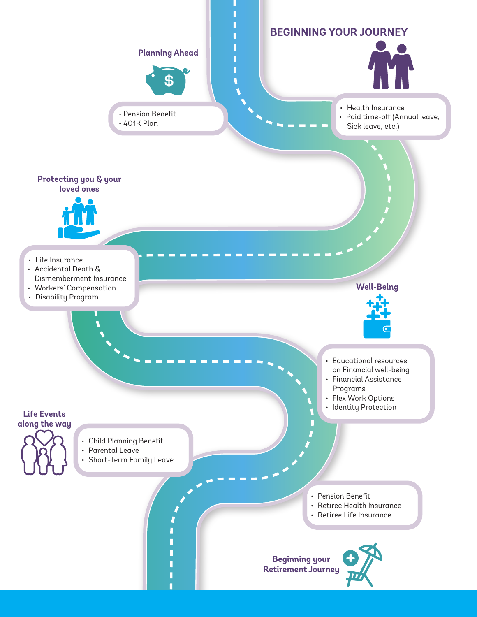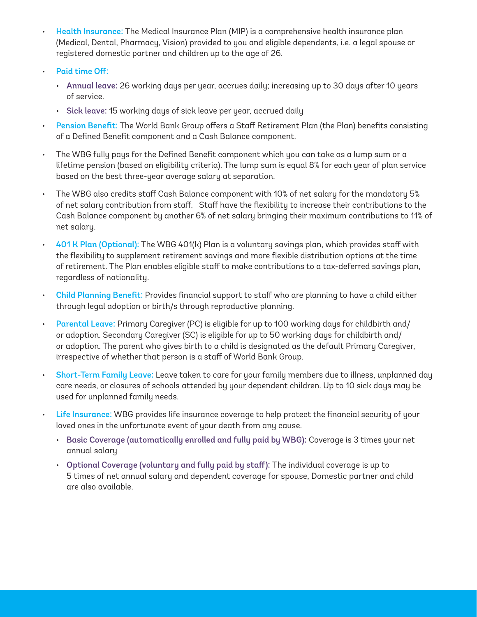- Health Insurance: The Medical Insurance Plan (MIP) is a comprehensive health insurance plan (Medical, Dental, Pharmacy, Vision) provided to you and eligible dependents, i.e. a legal spouse or registered domestic partner and children up to the age of 26.
- Paid time Off:
	- Annual leave: 26 working days per year, accrues daily; increasing up to 30 days after 10 years of service.
	- Sick leave: 15 working days of sick leave per year, accrued daily
- Pension Benefit: The World Bank Group offers a Staff Retirement Plan (the Plan) benefits consisting of a Defined Benefit component and a Cash Balance component.
- The WBG fully pays for the Defined Benefit component which you can take as a lump sum or a lifetime pension (based on eligibility criteria). The lump sum is equal 8% for each year of plan service based on the best three-year average salary at separation.
- The WBG also credits staff Cash Balance component with 10% of net salary for the mandatory 5% of net salary contribution from staff. Staff have the flexibility to increase their contributions to the Cash Balance component by another 6% of net salary bringing their maximum contributions to 11% of net salary.
- 401 K Plan (Optional): The WBG 401(k) Plan is a voluntary savings plan, which provides staff with the flexibility to supplement retirement savings and more flexible distribution options at the time of retirement. The Plan enables eligible staff to make contributions to a tax-deferred savings plan, regardless of nationality.
- Child Planning Benefit: Provides financial support to staff who are planning to have a child either through legal adoption or birth/s through reproductive planning.
- Parental Leave: Primary Caregiver (PC) is eligible for up to 100 working days for childbirth and/ or adoption. Secondary Caregiver (SC) is eligible for up to 50 working days for childbirth and/ or adoption. The parent who gives birth to a child is designated as the default Primary Caregiver, irrespective of whether that person is a staff of World Bank Group.
- Short-Term Family Leave: Leave taken to care for your family members due to illness, unplanned day care needs, or closures of schools attended by your dependent children. Up to 10 sick days may be used for unplanned family needs.
- Life Insurance: WBG provides life insurance coverage to help protect the financial security of your loved ones in the unfortunate event of your death from any cause.
	- Basic Coverage (automatically enrolled and fully paid by WBG): Coverage is 3 times your net annual salary
	- Optional Coverage (voluntary and fully paid by staff): The individual coverage is up to 5 times of net annual salary and dependent coverage for spouse, Domestic partner and child are also available.